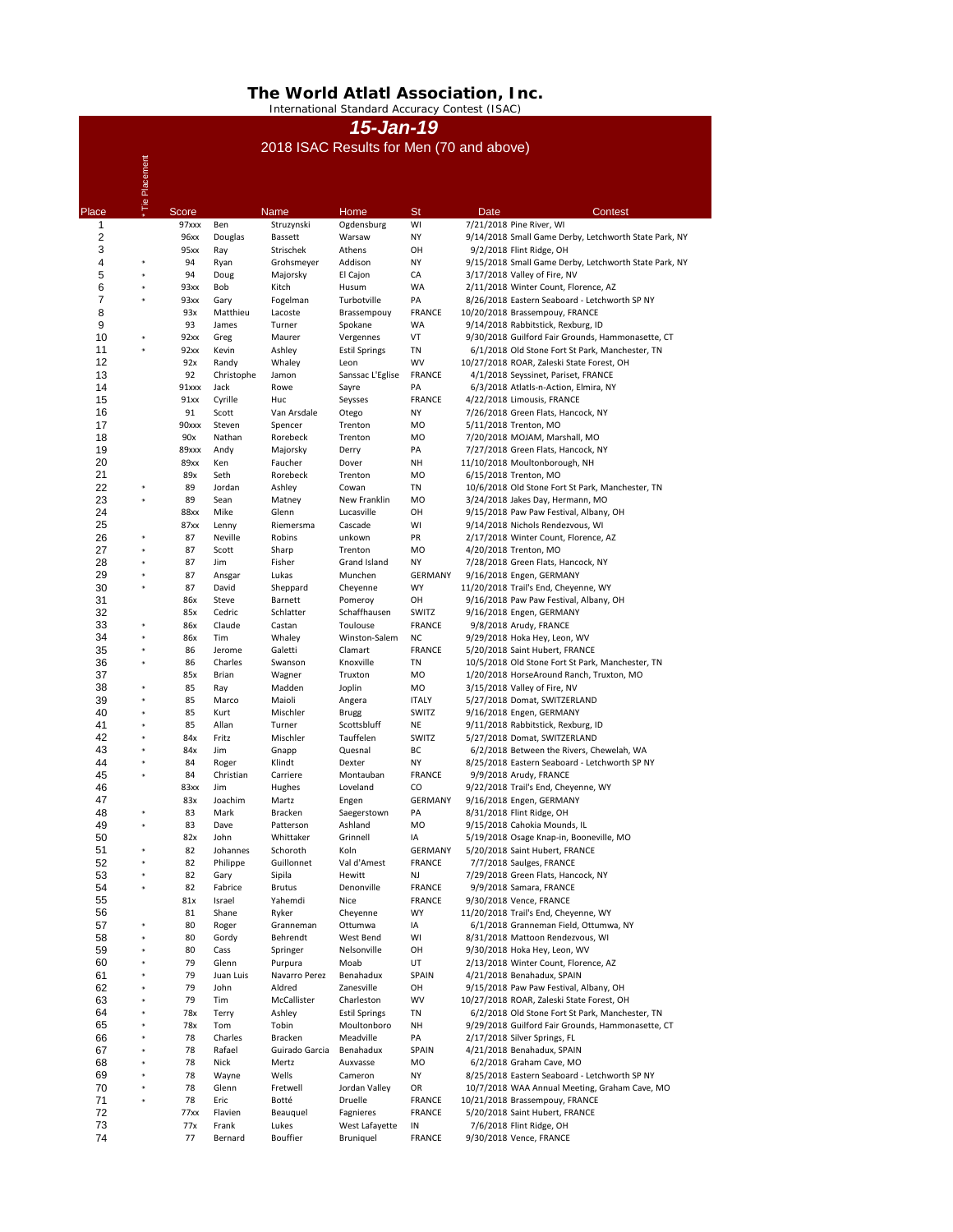Placement \* Tie Placement  $\frac{1}{2}$ NamePlace Score Mame Home St Date Contest 1 97xxx Ben Struzynski Ogdensburg WI 7/21/2018 Pine River, WI 2 96xx Douglas Bassett Warsaw NY 9/14/2018 Small Game Derby, Letchworth State Park, NY 3 3 95xx Ray Strischek Athens OH 9/2/2018 Flint Ridge, OH<br>
4 \* 94 Ryan Grohsmever Addison NY 9/15/2018 Small Game De 94 Ryan Grohsmeyer Addison NY 9/15/2018 Small Game Derby, Letchworth State Park, NY \* \* Doug Majorsky El Cajon CA 3/17/2018 Valley of Fire, NV \* 93xx Bob Kitch Husum WA 2/11/2018 Winter Count, Florence, AZ \* 93xx Gary Fogelman Turbotville PA 8/26/2018 Eastern Seaboard - Letchworth SP NY 8 93x Matthieu Lacoste Brassempouy FRANCE 10/20/2018 Brassempouy, FRANCE 93 James Turner Spokane WA 9/14/2018 Rabbitstick, Rexburg, ID 92xx Greg Maurer Vergennes VT 9/30/2018 Guilford Fair Grounds, Hammonasette, CT 92xx Kevin Ashley Estil Springs TN 6/1/2018 Old Stone Fort St Park, Manchester, TN 12 92x Randy Whaley Leon WV 10/27/2018 ROAR, Zaleski State Forest, OH 13 592 Christophe Jamon Sanssac L'Eglise FRANCE 4/1/2018 Seyssinet, Pariset, FRANCE 14 91xxx Jack Rowe Sayre PA 6/3/2018 Atlatls-n-Action, Elmira, NY 15 91xx Cyrille Huc Seysses FRANCE 4/22/2018 Limousis, FRANCE 91 Scott Van Arsdale Otego NY 7/26/2018 Green Flats, Hancock, NY 90xxx Steven Spencer Trenton MO 5/11/2018 Trenton, MO 18 18 90x Nathan Rorebeck Trenton MO 7/20/2018 MOJAM, Marshall, MO 19 19 89xxx Andy Majorsky Derry PA 7/27/2018 Green Flats, Hancock, NY 89xx Ken Faucher Dover NH 11/10/2018 Moultonborough, NH 89x Seth Rorebeck Trenton MO 6/15/2018 Trenton, MO \* 89 Jordan Ashley Cowan TN 10/6/2018 Old Stone Fort St Park, Manchester, TN  $23 \over 24$  Sean Matney New Franklin MO 3/24/2018 Jakes Day, Hermann, MO 88xx Mike Glenn Lucasville OH 9/15/2018 Paw Paw Festival, Albany, OH 87xx Lenny Riemersma Cascade WI 9/14/2018 Nichols Rendezvous, WI \* 87 Neville Robins unkown PR 2/17/2018 Winter Count, Florence, AZ \* 87 Scott Sharp Trenton MO 4/20/2018 Trenton, MO \* 87 Jim Fisher Grand Island NY 7/28/2018 Green Flats, Hancock, NY \* Ansgar Lukas Munchen GERMANY 9/16/2018 Engen, GERMANY \* David Sheppard Cheyenne WY 11/20/2018 Trail's End, Cheyenne, WY 31 31 86x Steve Barnett Pomeroy OH 9/16/2018 Paw Paw Festival, Albany, OH 85x Cedric Schlatter Schaffhausen SWITZ 9/16/2018 Engen, GERMANY \* 86x Claude Castan Toulouse FRANCE 9/8/2018 Arudy, FRANCE \* 86x Tim Whaley Winston-Salem NC 9/29/2018 Hoka Hey, Leon, WV \* Jerome Galetti Clamart FRANCE 5/20/2018 Saint Hubert, FRANCE 36<br>37 86 Charles Swanson Knoxville TN 10/5/2018 Old Stone Fort St Park, Manchester, TN 85x Brian Wagner Truxton MO 1/20/2018 HorseAround Ranch, Truxton, MO \* 85 Ray Madden Joplin MO 3/15/2018 Valley of Fire, NV \* 85 Marco Maioli Angera ITALY 5/27/2018 Domat, SWITZERLAND \* 85 Kurt Mischler Brugg SWITZ 9/16/2018 Engen, GERMANY \* 85 Allan Turner Scottsbluff NE 9/11/2018 Rabbitstick, Rexburg, ID \* 84x Fritz Mischler Tauffelen SWITZ 5/27/2018 Domat, SWITZERLAND \* 84x Jim Gnapp Quesnal BC 6/2/2018 Between the Rivers, Chewelah, WA \* Roger Klindt Dexter NY 8/25/2018 Eastern Seaboard - Letchworth SP NY \* Christian Carriere Montauban FRANCE 9/9/2018 Arudy, FRANCE

| 46 |              | 83xx | Jim          | Hughes          | Loveland             | CO             | 9/22/2018 Trail's End, Cheyenne, WY               |
|----|--------------|------|--------------|-----------------|----------------------|----------------|---------------------------------------------------|
| 47 |              | 83x  | Joachim      | Martz           | Engen                | <b>GERMANY</b> | 9/16/2018 Engen, GERMANY                          |
| 48 | $\ast$       | 83   | Mark         | <b>Bracken</b>  | Saegerstown          | PA             | 8/31/2018 Flint Ridge, OH                         |
| 49 | $\ast$       | 83   | Dave         | Patterson       | Ashland              | <b>MO</b>      | 9/15/2018 Cahokia Mounds, IL                      |
| 50 |              | 82x  | John         | Whittaker       | Grinnell             | IA             | 5/19/2018 Osage Knap-in, Booneville, MO           |
| 51 | $\star$      | 82   | Johannes     | Schoroth        | Koln                 | <b>GERMANY</b> | 5/20/2018 Saint Hubert, FRANCE                    |
| 52 | $\star$      | 82   | Philippe     | Guillonnet      | Val d'Amest          | <b>FRANCE</b>  | 7/7/2018 Saulges, FRANCE                          |
| 53 | $\star$      | 82   | Gary         | Sipila          | Hewitt               | NJ             | 7/29/2018 Green Flats, Hancock, NY                |
| 54 | $\ast$       | 82   | Fabrice      | <b>Brutus</b>   | Denonville           | <b>FRANCE</b>  | 9/9/2018 Samara, FRANCE                           |
| 55 |              | 81x  | Israel       | Yahemdi         | <b>Nice</b>          | <b>FRANCE</b>  | 9/30/2018 Vence, FRANCE                           |
| 56 |              | 81   | Shane        | Ryker           | Cheyenne             | <b>WY</b>      | 11/20/2018 Trail's End, Cheyenne, WY              |
| 57 | $\pmb{\ast}$ | 80   | Roger        | Granneman       | Ottumwa              | IA             | 6/1/2018 Granneman Field, Ottumwa, NY             |
| 58 | $\ast$       | 80   | Gordy        | Behrendt        | West Bend            | WI             | 8/31/2018 Mattoon Rendezvous, WI                  |
| 59 | $\ast$       | 80   | Cass         | Springer        | Nelsonville          | OH             | 9/30/2018 Hoka Hey, Leon, WV                      |
| 60 | $\ast$       | 79   | Glenn        | Purpura         | Moab                 | UT             | 2/13/2018 Winter Count, Florence, AZ              |
| 61 | $\ast$       | 79   | Juan Luis    | Navarro Perez   | Benahadux            | SPAIN          | 4/21/2018 Benahadux, SPAIN                        |
| 62 | $\star$      | 79   | John         | Aldred          | Zanesville           | OH             | 9/15/2018 Paw Paw Festival, Albany, OH            |
| 63 | $\ast$       | 79   | Tim          | McCallister     | Charleston           | <b>WV</b>      | 10/27/2018 ROAR, Zaleski State Forest, OH         |
| 64 | $\star$      | 78x  | <b>Terry</b> | Ashley          | <b>Estil Springs</b> | TN             | 6/2/2018 Old Stone Fort St Park, Manchester, TN   |
| 65 | $\ast$       | 78x  | Tom          | Tobin           | Moultonboro          | <b>NH</b>      | 9/29/2018 Guilford Fair Grounds, Hammonasette, CT |
| 66 | $\star$      | 78   | Charles      | <b>Bracken</b>  | Meadville            | PA             | 2/17/2018 Silver Springs, FL                      |
| 67 | $\ast$       | 78   | Rafael       | Guirado Garcia  | Benahadux            | <b>SPAIN</b>   | 4/21/2018 Benahadux, SPAIN                        |
| 68 | $\ast$       | 78   | <b>Nick</b>  | Mertz           | Auxvasse             | <b>MO</b>      | 6/2/2018 Graham Cave, MO                          |
| 69 | $\star$      | 78   | Wayne        | Wells           | Cameron              | <b>NY</b>      | 8/25/2018 Eastern Seaboard - Letchworth SP NY     |
| 70 | $\star$      | 78   | Glenn        | Fretwell        | Jordan Valley        | OR             | 10/7/2018 WAA Annual Meeting, Graham Cave, MO     |
| 71 | $\ast$       | 78   | Eric         | Botté           | <b>Druelle</b>       | <b>FRANCE</b>  | 10/21/2018 Brassempouy, FRANCE                    |
| 72 |              | 77xx | Flavien      | Beauquel        | Fagnieres            | <b>FRANCE</b>  | 5/20/2018 Saint Hubert, FRANCE                    |
| 73 |              | 77x  | Frank        | Lukes           | West Lafayette       | $\sf IN$       | 7/6/2018 Flint Ridge, OH                          |
| 74 |              | 77   | Bernard      | <b>Bouffier</b> | <b>Bruniquel</b>     | <b>FRANCE</b>  | 9/30/2018 Vence, FRANCE                           |
|    |              |      |              |                 |                      |                |                                                   |

## **The World Atlatl Association, Inc.**

International Standard Accuracy Contest (ISAC)

## *15-Jan-19* 2018 ISAC Results for Men (70 and above)